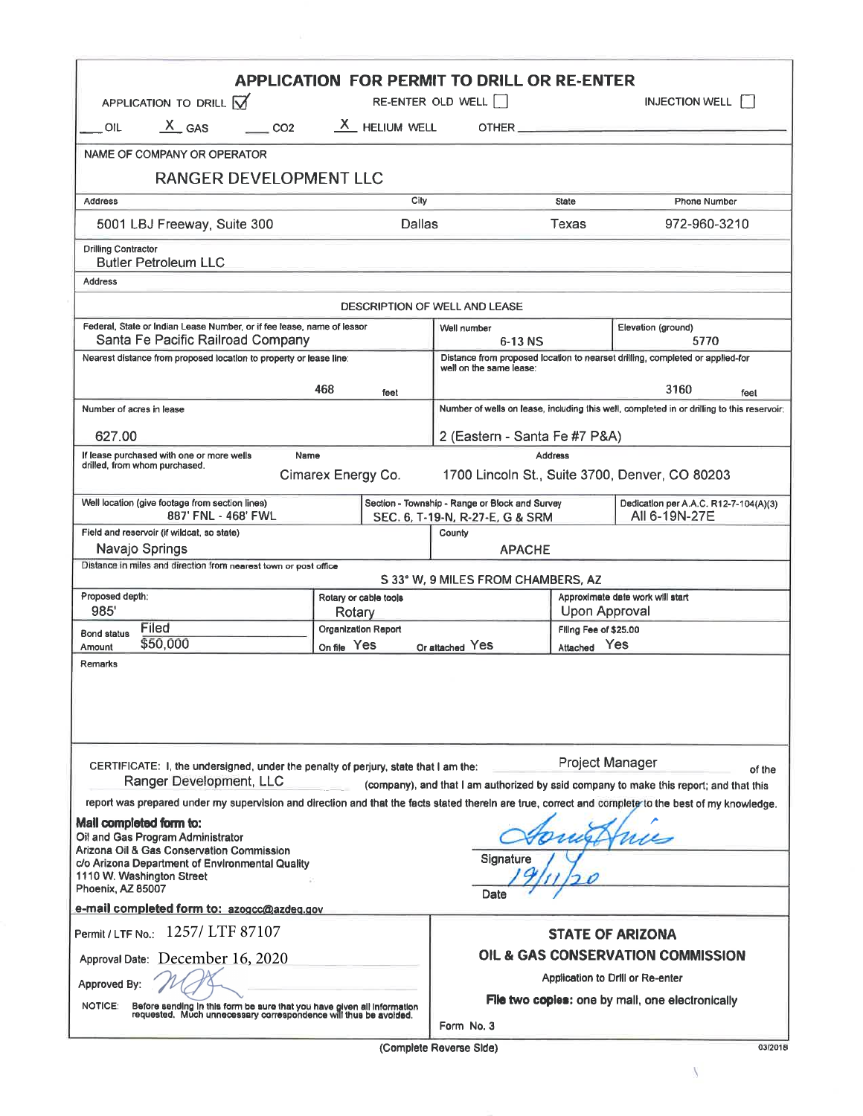| $X_{\text{GAS}}$ $\qquad \qquad$ CO2 $X_{\text{HELUM WELL}}$ OTHER<br>OIL<br>NAME OF COMPANY OR OPERATOR<br>RANGER DEVELOPMENT LLC<br>City<br>Phone Number<br><b>Address</b><br><b>State</b><br>5001 LBJ Freeway, Suite 300<br><b>Dallas</b><br><b>Texas</b><br>972-960-3210<br><b>Butler Petroleum LLC</b><br><b>DESCRIPTION OF WELL AND LEASE</b><br>Federal, State or Indian Lease Number, or if fee lease, name of lessor<br>Elevation (ground)<br>Well number<br>Santa Fe Pacific Railroad Company<br>$6-13$ NS<br>5770<br>Distance from proposed location to nearset drilling, completed or applied-for<br>Nearest distance from proposed location to property or lease line:<br>well on the same lease:<br>468<br>3160<br>feet<br>Number of wells on lease, including this well, completed in or drilling to this reservoir;<br>Number of acres in lease<br>627.00<br>2 (Eastern - Santa Fe #7 P&A)<br>If lease purchased with one or more wells<br>Name<br><b>Address</b><br>drilled, from whom purchased.<br>Cimarex Energy Co.<br>1700 Lincoln St., Suite 3700, Denver, CO 80203<br>Section - Township - Range or Block and Survey<br>Well location (give footage from section lines)<br>887' FNL - 468' FWL<br>All 6-19N-27E<br>SEC. 6, T-19-N, R-27-E, G & SRM<br>Field and reservoir (if wildcat, so state)<br>County<br>Navajo Springs<br><b>APACHE</b><br>Distance in miles and direction from nearest town or post office<br>S 33° W, 9 MILES FROM CHAMBERS, AZ<br>Proposed depth:<br>Approximate date work will start<br>Rotary or cable tools<br>985'<br>Upon Approval<br>Rotary<br>Filed<br>Organization Report<br>Filing Fee of \$25,00<br><b>Bond status</b><br>\$50,000<br>On file Yes<br>Attached Yes<br>Or attached Yes<br>Amount<br>Remarks<br>Project Manager<br>CERTIFICATE: I, the undersigned, under the penalty of perjury, state that I am the:<br>Ranger Development, LLC<br>(company), and that I am authorized by said company to make this report; and that this<br>report was prepared under my supervision and direction and that the facts stated therein are true, correct and complete to the best of my knowledge.<br>Mail completed form to:<br>Oil and Gas Program Administrator<br>Arizona Oil & Gas Conservation Commission<br>Signature<br>c/o Arizona Department of Environmental Quality<br>1110 W. Washington Street<br>Phoenix, AZ 85007<br>Date<br>e-mail completed form to: azogcc@azdeq.gov<br>Permit / LTF No.: 1257/ LTF 87107<br><b>STATE OF ARIZONA</b><br><b>OIL &amp; GAS CONSERVATION COMMISSION</b><br>Approval Date: December 16, 2020<br>Application to Drill or Re-enter<br>Approved By:<br><b>File two copies:</b> one by mall, one electronically<br><b>NOTICE:</b><br>Before sending in this form be sure that you have given all information<br>requested. Much unnecessary correspondence will thus be avoided.<br>Form No. 3 | APPLICATION TO DRILL M     |  | <b>APPLICATION FOR PERMIT TO DRILL OR RE-ENTER</b><br>RE-ENTER OLD WELL |  | <b>INJECTION WELL</b>                 |  |
|----------------------------------------------------------------------------------------------------------------------------------------------------------------------------------------------------------------------------------------------------------------------------------------------------------------------------------------------------------------------------------------------------------------------------------------------------------------------------------------------------------------------------------------------------------------------------------------------------------------------------------------------------------------------------------------------------------------------------------------------------------------------------------------------------------------------------------------------------------------------------------------------------------------------------------------------------------------------------------------------------------------------------------------------------------------------------------------------------------------------------------------------------------------------------------------------------------------------------------------------------------------------------------------------------------------------------------------------------------------------------------------------------------------------------------------------------------------------------------------------------------------------------------------------------------------------------------------------------------------------------------------------------------------------------------------------------------------------------------------------------------------------------------------------------------------------------------------------------------------------------------------------------------------------------------------------------------------------------------------------------------------------------------------------------------------------------------------------------------------------------------------------------------------------------------------------------------------------------------------------------------------------------------------------------------------------------------------------------------------------------------------------------------------------------------------------------------------------------------------------------------------------------------------------------------------------------------------------------------------------------------------------------------------------------------------------------------------------------------------------------------------------------------------------------------------------------------------------------------------------------------------------------|----------------------------|--|-------------------------------------------------------------------------|--|---------------------------------------|--|
|                                                                                                                                                                                                                                                                                                                                                                                                                                                                                                                                                                                                                                                                                                                                                                                                                                                                                                                                                                                                                                                                                                                                                                                                                                                                                                                                                                                                                                                                                                                                                                                                                                                                                                                                                                                                                                                                                                                                                                                                                                                                                                                                                                                                                                                                                                                                                                                                                                                                                                                                                                                                                                                                                                                                                                                                                                                                                                    |                            |  |                                                                         |  |                                       |  |
|                                                                                                                                                                                                                                                                                                                                                                                                                                                                                                                                                                                                                                                                                                                                                                                                                                                                                                                                                                                                                                                                                                                                                                                                                                                                                                                                                                                                                                                                                                                                                                                                                                                                                                                                                                                                                                                                                                                                                                                                                                                                                                                                                                                                                                                                                                                                                                                                                                                                                                                                                                                                                                                                                                                                                                                                                                                                                                    |                            |  |                                                                         |  |                                       |  |
|                                                                                                                                                                                                                                                                                                                                                                                                                                                                                                                                                                                                                                                                                                                                                                                                                                                                                                                                                                                                                                                                                                                                                                                                                                                                                                                                                                                                                                                                                                                                                                                                                                                                                                                                                                                                                                                                                                                                                                                                                                                                                                                                                                                                                                                                                                                                                                                                                                                                                                                                                                                                                                                                                                                                                                                                                                                                                                    |                            |  |                                                                         |  |                                       |  |
|                                                                                                                                                                                                                                                                                                                                                                                                                                                                                                                                                                                                                                                                                                                                                                                                                                                                                                                                                                                                                                                                                                                                                                                                                                                                                                                                                                                                                                                                                                                                                                                                                                                                                                                                                                                                                                                                                                                                                                                                                                                                                                                                                                                                                                                                                                                                                                                                                                                                                                                                                                                                                                                                                                                                                                                                                                                                                                    |                            |  |                                                                         |  |                                       |  |
|                                                                                                                                                                                                                                                                                                                                                                                                                                                                                                                                                                                                                                                                                                                                                                                                                                                                                                                                                                                                                                                                                                                                                                                                                                                                                                                                                                                                                                                                                                                                                                                                                                                                                                                                                                                                                                                                                                                                                                                                                                                                                                                                                                                                                                                                                                                                                                                                                                                                                                                                                                                                                                                                                                                                                                                                                                                                                                    |                            |  |                                                                         |  |                                       |  |
|                                                                                                                                                                                                                                                                                                                                                                                                                                                                                                                                                                                                                                                                                                                                                                                                                                                                                                                                                                                                                                                                                                                                                                                                                                                                                                                                                                                                                                                                                                                                                                                                                                                                                                                                                                                                                                                                                                                                                                                                                                                                                                                                                                                                                                                                                                                                                                                                                                                                                                                                                                                                                                                                                                                                                                                                                                                                                                    | <b>Drilling Contractor</b> |  |                                                                         |  |                                       |  |
|                                                                                                                                                                                                                                                                                                                                                                                                                                                                                                                                                                                                                                                                                                                                                                                                                                                                                                                                                                                                                                                                                                                                                                                                                                                                                                                                                                                                                                                                                                                                                                                                                                                                                                                                                                                                                                                                                                                                                                                                                                                                                                                                                                                                                                                                                                                                                                                                                                                                                                                                                                                                                                                                                                                                                                                                                                                                                                    | <b>Address</b>             |  |                                                                         |  |                                       |  |
|                                                                                                                                                                                                                                                                                                                                                                                                                                                                                                                                                                                                                                                                                                                                                                                                                                                                                                                                                                                                                                                                                                                                                                                                                                                                                                                                                                                                                                                                                                                                                                                                                                                                                                                                                                                                                                                                                                                                                                                                                                                                                                                                                                                                                                                                                                                                                                                                                                                                                                                                                                                                                                                                                                                                                                                                                                                                                                    |                            |  |                                                                         |  |                                       |  |
|                                                                                                                                                                                                                                                                                                                                                                                                                                                                                                                                                                                                                                                                                                                                                                                                                                                                                                                                                                                                                                                                                                                                                                                                                                                                                                                                                                                                                                                                                                                                                                                                                                                                                                                                                                                                                                                                                                                                                                                                                                                                                                                                                                                                                                                                                                                                                                                                                                                                                                                                                                                                                                                                                                                                                                                                                                                                                                    |                            |  |                                                                         |  |                                       |  |
|                                                                                                                                                                                                                                                                                                                                                                                                                                                                                                                                                                                                                                                                                                                                                                                                                                                                                                                                                                                                                                                                                                                                                                                                                                                                                                                                                                                                                                                                                                                                                                                                                                                                                                                                                                                                                                                                                                                                                                                                                                                                                                                                                                                                                                                                                                                                                                                                                                                                                                                                                                                                                                                                                                                                                                                                                                                                                                    |                            |  |                                                                         |  |                                       |  |
|                                                                                                                                                                                                                                                                                                                                                                                                                                                                                                                                                                                                                                                                                                                                                                                                                                                                                                                                                                                                                                                                                                                                                                                                                                                                                                                                                                                                                                                                                                                                                                                                                                                                                                                                                                                                                                                                                                                                                                                                                                                                                                                                                                                                                                                                                                                                                                                                                                                                                                                                                                                                                                                                                                                                                                                                                                                                                                    |                            |  |                                                                         |  |                                       |  |
|                                                                                                                                                                                                                                                                                                                                                                                                                                                                                                                                                                                                                                                                                                                                                                                                                                                                                                                                                                                                                                                                                                                                                                                                                                                                                                                                                                                                                                                                                                                                                                                                                                                                                                                                                                                                                                                                                                                                                                                                                                                                                                                                                                                                                                                                                                                                                                                                                                                                                                                                                                                                                                                                                                                                                                                                                                                                                                    |                            |  |                                                                         |  | feel                                  |  |
|                                                                                                                                                                                                                                                                                                                                                                                                                                                                                                                                                                                                                                                                                                                                                                                                                                                                                                                                                                                                                                                                                                                                                                                                                                                                                                                                                                                                                                                                                                                                                                                                                                                                                                                                                                                                                                                                                                                                                                                                                                                                                                                                                                                                                                                                                                                                                                                                                                                                                                                                                                                                                                                                                                                                                                                                                                                                                                    |                            |  |                                                                         |  |                                       |  |
|                                                                                                                                                                                                                                                                                                                                                                                                                                                                                                                                                                                                                                                                                                                                                                                                                                                                                                                                                                                                                                                                                                                                                                                                                                                                                                                                                                                                                                                                                                                                                                                                                                                                                                                                                                                                                                                                                                                                                                                                                                                                                                                                                                                                                                                                                                                                                                                                                                                                                                                                                                                                                                                                                                                                                                                                                                                                                                    |                            |  |                                                                         |  |                                       |  |
|                                                                                                                                                                                                                                                                                                                                                                                                                                                                                                                                                                                                                                                                                                                                                                                                                                                                                                                                                                                                                                                                                                                                                                                                                                                                                                                                                                                                                                                                                                                                                                                                                                                                                                                                                                                                                                                                                                                                                                                                                                                                                                                                                                                                                                                                                                                                                                                                                                                                                                                                                                                                                                                                                                                                                                                                                                                                                                    |                            |  |                                                                         |  |                                       |  |
|                                                                                                                                                                                                                                                                                                                                                                                                                                                                                                                                                                                                                                                                                                                                                                                                                                                                                                                                                                                                                                                                                                                                                                                                                                                                                                                                                                                                                                                                                                                                                                                                                                                                                                                                                                                                                                                                                                                                                                                                                                                                                                                                                                                                                                                                                                                                                                                                                                                                                                                                                                                                                                                                                                                                                                                                                                                                                                    |                            |  |                                                                         |  | Dedication per A.A.C. R12-7-104(A)(3) |  |
|                                                                                                                                                                                                                                                                                                                                                                                                                                                                                                                                                                                                                                                                                                                                                                                                                                                                                                                                                                                                                                                                                                                                                                                                                                                                                                                                                                                                                                                                                                                                                                                                                                                                                                                                                                                                                                                                                                                                                                                                                                                                                                                                                                                                                                                                                                                                                                                                                                                                                                                                                                                                                                                                                                                                                                                                                                                                                                    |                            |  |                                                                         |  |                                       |  |
|                                                                                                                                                                                                                                                                                                                                                                                                                                                                                                                                                                                                                                                                                                                                                                                                                                                                                                                                                                                                                                                                                                                                                                                                                                                                                                                                                                                                                                                                                                                                                                                                                                                                                                                                                                                                                                                                                                                                                                                                                                                                                                                                                                                                                                                                                                                                                                                                                                                                                                                                                                                                                                                                                                                                                                                                                                                                                                    |                            |  |                                                                         |  |                                       |  |
|                                                                                                                                                                                                                                                                                                                                                                                                                                                                                                                                                                                                                                                                                                                                                                                                                                                                                                                                                                                                                                                                                                                                                                                                                                                                                                                                                                                                                                                                                                                                                                                                                                                                                                                                                                                                                                                                                                                                                                                                                                                                                                                                                                                                                                                                                                                                                                                                                                                                                                                                                                                                                                                                                                                                                                                                                                                                                                    |                            |  |                                                                         |  |                                       |  |
|                                                                                                                                                                                                                                                                                                                                                                                                                                                                                                                                                                                                                                                                                                                                                                                                                                                                                                                                                                                                                                                                                                                                                                                                                                                                                                                                                                                                                                                                                                                                                                                                                                                                                                                                                                                                                                                                                                                                                                                                                                                                                                                                                                                                                                                                                                                                                                                                                                                                                                                                                                                                                                                                                                                                                                                                                                                                                                    |                            |  |                                                                         |  |                                       |  |
|                                                                                                                                                                                                                                                                                                                                                                                                                                                                                                                                                                                                                                                                                                                                                                                                                                                                                                                                                                                                                                                                                                                                                                                                                                                                                                                                                                                                                                                                                                                                                                                                                                                                                                                                                                                                                                                                                                                                                                                                                                                                                                                                                                                                                                                                                                                                                                                                                                                                                                                                                                                                                                                                                                                                                                                                                                                                                                    |                            |  |                                                                         |  |                                       |  |
|                                                                                                                                                                                                                                                                                                                                                                                                                                                                                                                                                                                                                                                                                                                                                                                                                                                                                                                                                                                                                                                                                                                                                                                                                                                                                                                                                                                                                                                                                                                                                                                                                                                                                                                                                                                                                                                                                                                                                                                                                                                                                                                                                                                                                                                                                                                                                                                                                                                                                                                                                                                                                                                                                                                                                                                                                                                                                                    |                            |  |                                                                         |  |                                       |  |
|                                                                                                                                                                                                                                                                                                                                                                                                                                                                                                                                                                                                                                                                                                                                                                                                                                                                                                                                                                                                                                                                                                                                                                                                                                                                                                                                                                                                                                                                                                                                                                                                                                                                                                                                                                                                                                                                                                                                                                                                                                                                                                                                                                                                                                                                                                                                                                                                                                                                                                                                                                                                                                                                                                                                                                                                                                                                                                    |                            |  |                                                                         |  |                                       |  |
|                                                                                                                                                                                                                                                                                                                                                                                                                                                                                                                                                                                                                                                                                                                                                                                                                                                                                                                                                                                                                                                                                                                                                                                                                                                                                                                                                                                                                                                                                                                                                                                                                                                                                                                                                                                                                                                                                                                                                                                                                                                                                                                                                                                                                                                                                                                                                                                                                                                                                                                                                                                                                                                                                                                                                                                                                                                                                                    |                            |  |                                                                         |  | of the                                |  |
|                                                                                                                                                                                                                                                                                                                                                                                                                                                                                                                                                                                                                                                                                                                                                                                                                                                                                                                                                                                                                                                                                                                                                                                                                                                                                                                                                                                                                                                                                                                                                                                                                                                                                                                                                                                                                                                                                                                                                                                                                                                                                                                                                                                                                                                                                                                                                                                                                                                                                                                                                                                                                                                                                                                                                                                                                                                                                                    |                            |  |                                                                         |  |                                       |  |
|                                                                                                                                                                                                                                                                                                                                                                                                                                                                                                                                                                                                                                                                                                                                                                                                                                                                                                                                                                                                                                                                                                                                                                                                                                                                                                                                                                                                                                                                                                                                                                                                                                                                                                                                                                                                                                                                                                                                                                                                                                                                                                                                                                                                                                                                                                                                                                                                                                                                                                                                                                                                                                                                                                                                                                                                                                                                                                    |                            |  |                                                                         |  |                                       |  |
|                                                                                                                                                                                                                                                                                                                                                                                                                                                                                                                                                                                                                                                                                                                                                                                                                                                                                                                                                                                                                                                                                                                                                                                                                                                                                                                                                                                                                                                                                                                                                                                                                                                                                                                                                                                                                                                                                                                                                                                                                                                                                                                                                                                                                                                                                                                                                                                                                                                                                                                                                                                                                                                                                                                                                                                                                                                                                                    |                            |  |                                                                         |  |                                       |  |
|                                                                                                                                                                                                                                                                                                                                                                                                                                                                                                                                                                                                                                                                                                                                                                                                                                                                                                                                                                                                                                                                                                                                                                                                                                                                                                                                                                                                                                                                                                                                                                                                                                                                                                                                                                                                                                                                                                                                                                                                                                                                                                                                                                                                                                                                                                                                                                                                                                                                                                                                                                                                                                                                                                                                                                                                                                                                                                    |                            |  |                                                                         |  |                                       |  |
|                                                                                                                                                                                                                                                                                                                                                                                                                                                                                                                                                                                                                                                                                                                                                                                                                                                                                                                                                                                                                                                                                                                                                                                                                                                                                                                                                                                                                                                                                                                                                                                                                                                                                                                                                                                                                                                                                                                                                                                                                                                                                                                                                                                                                                                                                                                                                                                                                                                                                                                                                                                                                                                                                                                                                                                                                                                                                                    |                            |  |                                                                         |  |                                       |  |
|                                                                                                                                                                                                                                                                                                                                                                                                                                                                                                                                                                                                                                                                                                                                                                                                                                                                                                                                                                                                                                                                                                                                                                                                                                                                                                                                                                                                                                                                                                                                                                                                                                                                                                                                                                                                                                                                                                                                                                                                                                                                                                                                                                                                                                                                                                                                                                                                                                                                                                                                                                                                                                                                                                                                                                                                                                                                                                    |                            |  |                                                                         |  |                                       |  |
|                                                                                                                                                                                                                                                                                                                                                                                                                                                                                                                                                                                                                                                                                                                                                                                                                                                                                                                                                                                                                                                                                                                                                                                                                                                                                                                                                                                                                                                                                                                                                                                                                                                                                                                                                                                                                                                                                                                                                                                                                                                                                                                                                                                                                                                                                                                                                                                                                                                                                                                                                                                                                                                                                                                                                                                                                                                                                                    |                            |  |                                                                         |  |                                       |  |
|                                                                                                                                                                                                                                                                                                                                                                                                                                                                                                                                                                                                                                                                                                                                                                                                                                                                                                                                                                                                                                                                                                                                                                                                                                                                                                                                                                                                                                                                                                                                                                                                                                                                                                                                                                                                                                                                                                                                                                                                                                                                                                                                                                                                                                                                                                                                                                                                                                                                                                                                                                                                                                                                                                                                                                                                                                                                                                    |                            |  |                                                                         |  |                                       |  |
|                                                                                                                                                                                                                                                                                                                                                                                                                                                                                                                                                                                                                                                                                                                                                                                                                                                                                                                                                                                                                                                                                                                                                                                                                                                                                                                                                                                                                                                                                                                                                                                                                                                                                                                                                                                                                                                                                                                                                                                                                                                                                                                                                                                                                                                                                                                                                                                                                                                                                                                                                                                                                                                                                                                                                                                                                                                                                                    |                            |  |                                                                         |  |                                       |  |

(Complete Reverse Side)

03/2018

V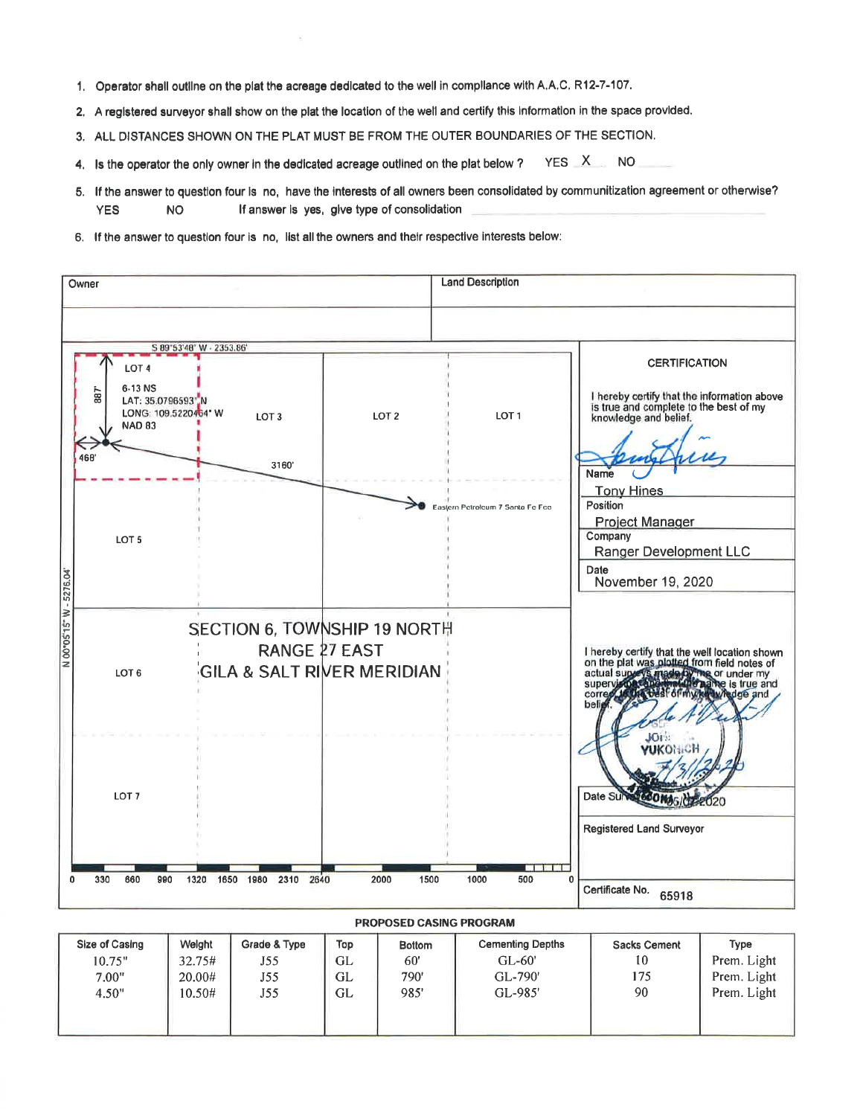- 1. Operator shall outline on the plat the acreage dedicated to the well in compliance with A.A.C. R12-7-107.
- 2. A registered survevor shall show on the plat the location of the well and certify this information in the space provided.
- 3. ALL DISTANCES SHOWN ON THE PLAT MUST BE FROM THE OUTER BOUNDARIES OF THE SECTION.
- $YES$   $X$ **NO** 4. Is the operator the only owner in the dedicated acreage outlined on the plat below ?
- 5. If the answer to question four is no, have the interests of all owners been consolidated by communitization agreement or otherwise? If answer is yes, give type of consolidation **YES NO**
- 6. If the answer to question four is no, list all the owners and their respective interests below:



## PROPOSED CASING PROGRAM

| Size of Casing | Welght | Grade & Type | Top | <b>Bottom</b> | <b>Cementing Depths</b> | <b>Sacks Cement</b> | Type        |
|----------------|--------|--------------|-----|---------------|-------------------------|---------------------|-------------|
| 10.75"         | 32.75# | J55          | GL  | 60'           | $GL-60'$                | 10                  | Prem. Light |
| 7.00"          | 20.00# | J55          | GL  | 790'          | GL-790'                 | 175                 | Prem. Light |
| 4.50"          | 10.50# | J55          | GL  | 985'          | GL-985'                 | 90                  | Prem. Light |
|                |        |              |     |               |                         |                     |             |
|                |        |              |     |               |                         |                     |             |